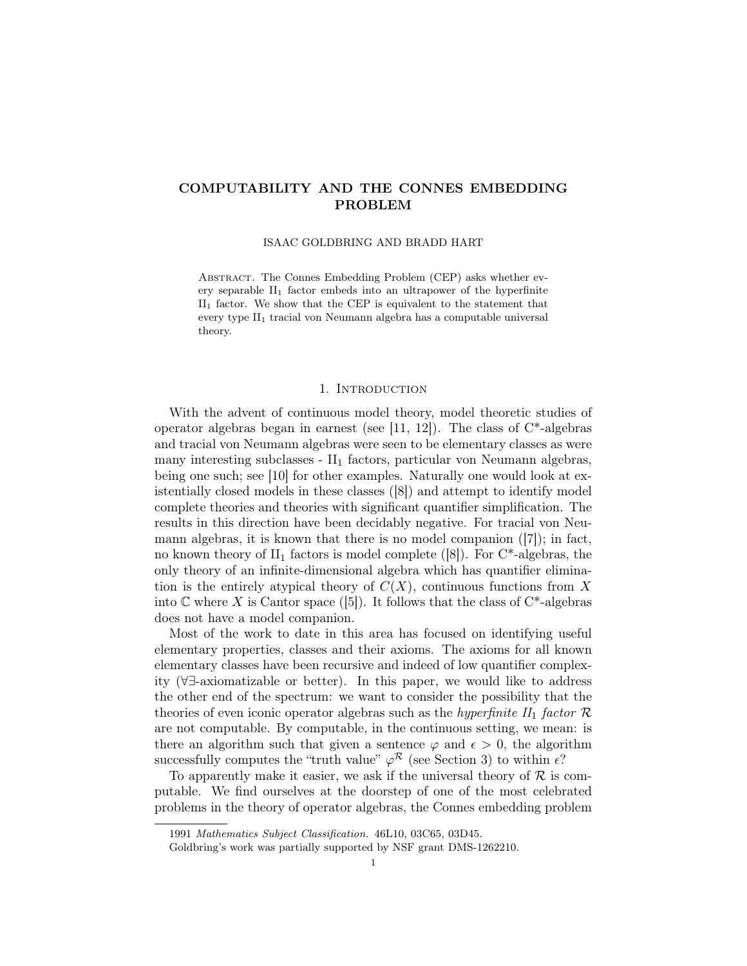# COMPUTABILITY AND THE CONNES EMBEDDING PROBLEM

#### ISAAC GOLDBRING AND BRADD HART

ABSTRACT. The Connes Embedding Problem (CEP) asks whether every separable  $II_1$  factor embeds into an ultrapower of the hyperfinite  $II<sub>1</sub>$  factor. We show that the CEP is equivalent to the statement that every type  $II_1$  tracial von Neumann algebra has a computable universal theory.

#### 1. Introduction

With the advent of continuous model theory, model theoretic studies of operator algebras began in earnest (see [11, 12]). The class of  $C^*$ -algebras and tracial von Neumann algebras were seen to be elementary classes as were many interesting subclasses -  $II_1$  factors, particular von Neumann algebras, being one such; see [10] for other examples. Naturally one would look at existentially closed models in these classes ([8]) and attempt to identify model complete theories and theories with significant quantifier simplification. The results in this direction have been decidably negative. For tracial von Neumann algebras, it is known that there is no model companion  $([7])$ ; in fact, no known theory of  $II_1$  factors is model complete ([8]). For  $C^*$ -algebras, the only theory of an infinite-dimensional algebra which has quantifier elimination is the entirely atypical theory of  $C(X)$ , continuous functions from X into  $\mathbb C$  where X is Cantor space ([5]). It follows that the class of  $C^*$ -algebras does not have a model companion.

Most of the work to date in this area has focused on identifying useful elementary properties, classes and their axioms. The axioms for all known elementary classes have been recursive and indeed of low quantifier complexity (∀∃-axiomatizable or better). In this paper, we would like to address the other end of the spectrum: we want to consider the possibility that the theories of even iconic operator algebras such as the *hyperfinite*  $II_1$  factor  $\mathcal R$ are not computable. By computable, in the continuous setting, we mean: is there an algorithm such that given a sentence  $\varphi$  and  $\epsilon > 0$ , the algorithm successfully computes the "truth value"  $\varphi^{\mathcal{R}}$  (see Section 3) to within  $\epsilon$ ?

To apparently make it easier, we ask if the universal theory of  $\mathcal R$  is computable. We find ourselves at the doorstep of one of the most celebrated problems in the theory of operator algebras, the Connes embedding problem

<sup>1991</sup> Mathematics Subject Classification. 46L10, 03C65, 03D45.

Goldbring's work was partially supported by NSF grant DMS-1262210.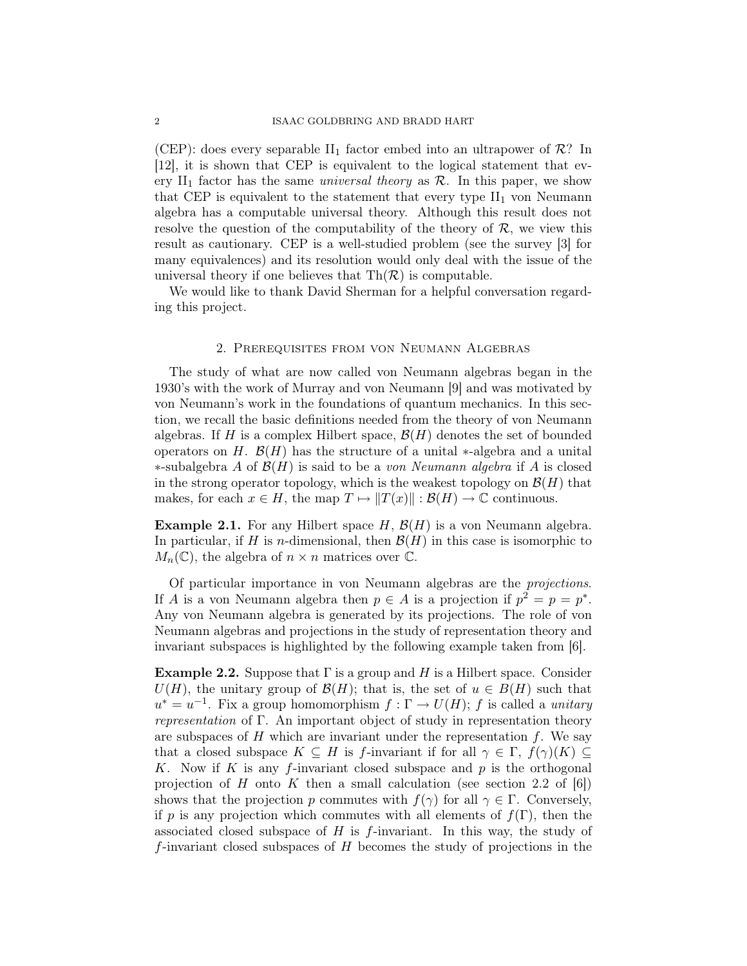(CEP): does every separable  $II_1$  factor embed into an ultrapower of  $\mathcal{R}$ ? In [12], it is shown that CEP is equivalent to the logical statement that every II<sub>1</sub> factor has the same *universal theory* as  $\mathcal{R}$ . In this paper, we show that CEP is equivalent to the statement that every type  $II_1$  von Neumann algebra has a computable universal theory. Although this result does not resolve the question of the computability of the theory of  $\mathcal{R}$ , we view this result as cautionary. CEP is a well-studied problem (see the survey [3] for many equivalences) and its resolution would only deal with the issue of the universal theory if one believes that  $\text{Th}(\mathcal{R})$  is computable.

We would like to thank David Sherman for a helpful conversation regarding this project.

# 2. Prerequisites from von Neumann Algebras

The study of what are now called von Neumann algebras began in the 1930's with the work of Murray and von Neumann [9] and was motivated by von Neumann's work in the foundations of quantum mechanics. In this section, we recall the basic definitions needed from the theory of von Neumann algebras. If H is a complex Hilbert space,  $\mathcal{B}(H)$  denotes the set of bounded operators on H.  $\mathcal{B}(H)$  has the structure of a unital ∗-algebra and a unital  $*$ -subalgebra A of  $\mathcal{B}(H)$  is said to be a von Neumann algebra if A is closed in the strong operator topology, which is the weakest topology on  $\mathcal{B}(H)$  that makes, for each  $x \in H$ , the map  $T \mapsto ||T(x)|| : \mathcal{B}(H) \to \mathbb{C}$  continuous.

**Example 2.1.** For any Hilbert space  $H$ ,  $\mathcal{B}(H)$  is a von Neumann algebra. In particular, if H is *n*-dimensional, then  $\mathcal{B}(H)$  in this case is isomorphic to  $M_n(\mathbb{C})$ , the algebra of  $n \times n$  matrices over  $\mathbb{C}$ .

Of particular importance in von Neumann algebras are the projections. If A is a von Neumann algebra then  $p \in A$  is a projection if  $p^2 = p = p^*$ . Any von Neumann algebra is generated by its projections. The role of von Neumann algebras and projections in the study of representation theory and invariant subspaces is highlighted by the following example taken from [6].

**Example 2.2.** Suppose that  $\Gamma$  is a group and H is a Hilbert space. Consider  $U(H)$ , the unitary group of  $\mathcal{B}(H)$ ; that is, the set of  $u \in B(H)$  such that  $u^* = u^{-1}$ . Fix a group homomorphism  $f : \Gamma \to U(H)$ ; f is called a unitary representation of Γ. An important object of study in representation theory are subspaces of  $H$  which are invariant under the representation  $f$ . We say that a closed subspace  $K \subseteq H$  is f-invariant if for all  $\gamma \in \Gamma$ ,  $f(\gamma)(K) \subseteq$ K. Now if K is any f-invariant closed subspace and  $p$  is the orthogonal projection of H onto K then a small calculation (see section 2.2 of  $[6]$ ) shows that the projection p commutes with  $f(\gamma)$  for all  $\gamma \in \Gamma$ . Conversely, if p is any projection which commutes with all elements of  $f(\Gamma)$ , then the associated closed subspace of  $H$  is  $f$ -invariant. In this way, the study of f-invariant closed subspaces of  $H$  becomes the study of projections in the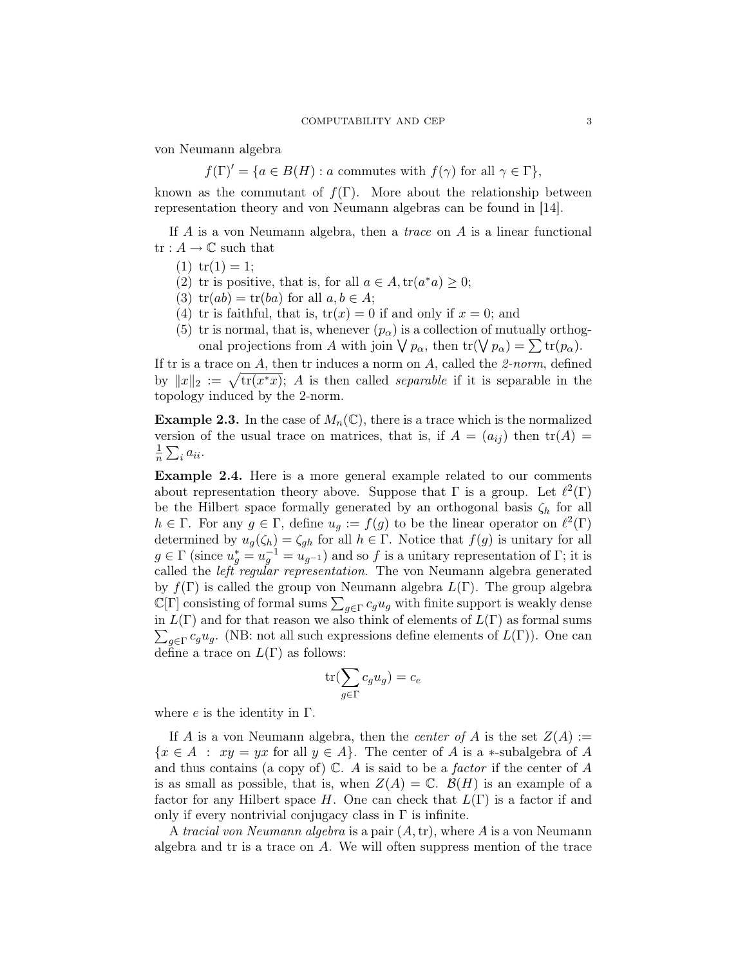von Neumann algebra

 $f(\Gamma)' = \{a \in B(H) : a \text{ commutes with } f(\gamma) \text{ for all } \gamma \in \Gamma\},\$ 

known as the commutant of  $f(\Gamma)$ . More about the relationship between representation theory and von Neumann algebras can be found in [14].

If A is a von Neumann algebra, then a trace on A is a linear functional  $tr: A \to \mathbb{C}$  such that

- $(1)$  tr $(1) = 1$ ;
- (2) tr is positive, that is, for all  $a \in A$ ,  $tr(a^*a) \geq 0$ ;
- (3)  $tr(ab) = tr(ba)$  for all  $a, b \in A$ ;
- (4) tr is faithful, that is,  $tr(x) = 0$  if and only if  $x = 0$ ; and
- (5) tr is normal, that is, whenever  $(p_\alpha)$  is a collection of mutually orthogonal projections from A with join  $\bigvee p_{\alpha}$ , then  $tr(\bigvee p_{\alpha}) = \sum tr(p_{\alpha})$ .

If tr is a trace on  $A$ , then tr induces a norm on  $A$ , called the 2-norm, defined by  $||x||_2 := \sqrt{\text{tr}(x^*x)}$ ; A is then called separable if it is separable in the topology induced by the 2-norm.

**Example 2.3.** In the case of  $M_n(\mathbb{C})$ , there is a trace which is the normalized version of the usual trace on matrices, that is, if  $A = (a_{ij})$  then  $tr(A) =$ 1  $\frac{1}{n} \sum_i a_{ii}.$ 

Example 2.4. Here is a more general example related to our comments about representation theory above. Suppose that  $\Gamma$  is a group. Let  $\ell^2(\Gamma)$ be the Hilbert space formally generated by an orthogonal basis  $\zeta_h$  for all  $h \in \Gamma$ . For any  $g \in \Gamma$ , define  $u_g := f(g)$  to be the linear operator on  $\ell^2(\Gamma)$ determined by  $u_g(\zeta_h) = \zeta_{gh}$  for all  $h \in \Gamma$ . Notice that  $f(g)$  is unitary for all  $g \in \Gamma$  (since  $u_g^* = u_g^{-1} = u_{g^{-1}}$ ) and so f is a unitary representation of  $\Gamma$ ; it is called the *left regular representation*. The von Neumann algebra generated by  $f(\Gamma)$  is called the group von Neumann algebra  $L(\Gamma)$ . The group algebra  $\mathbb{C}[\Gamma]$  consisting of formal sums  $\sum_{g \in \Gamma} c_g u_g$  with finite support is weakly dense  $\sum_{g \in \Gamma} c_g u_g$ . (NB: not all such expressions define elements of  $L(\Gamma)$ ). One can in  $L(\Gamma)$  and for that reason we also think of elements of  $L(\Gamma)$  as formal sums define a trace on  $L(\Gamma)$  as follows:

$$
\operatorname{tr}(\sum_{g \in \Gamma} c_g u_g) = c_e
$$

where  $e$  is the identity in  $\Gamma$ .

If A is a von Neumann algebra, then the *center of* A is the set  $Z(A) :=$  ${x \in A : xy = yx$  for all  $y \in A}$ . The center of A is a \*-subalgebra of A and thus contains (a copy of)  $\mathbb{C}$ . A is said to be a *factor* if the center of A is as small as possible, that is, when  $Z(A) = \mathbb{C}$ .  $\mathcal{B}(H)$  is an example of a factor for any Hilbert space H. One can check that  $L(\Gamma)$  is a factor if and only if every nontrivial conjugacy class in  $\Gamma$  is infinite.

A tracial von Neumann algebra is a pair  $(A, tr)$ , where A is a von Neumann algebra and tr is a trace on A. We will often suppress mention of the trace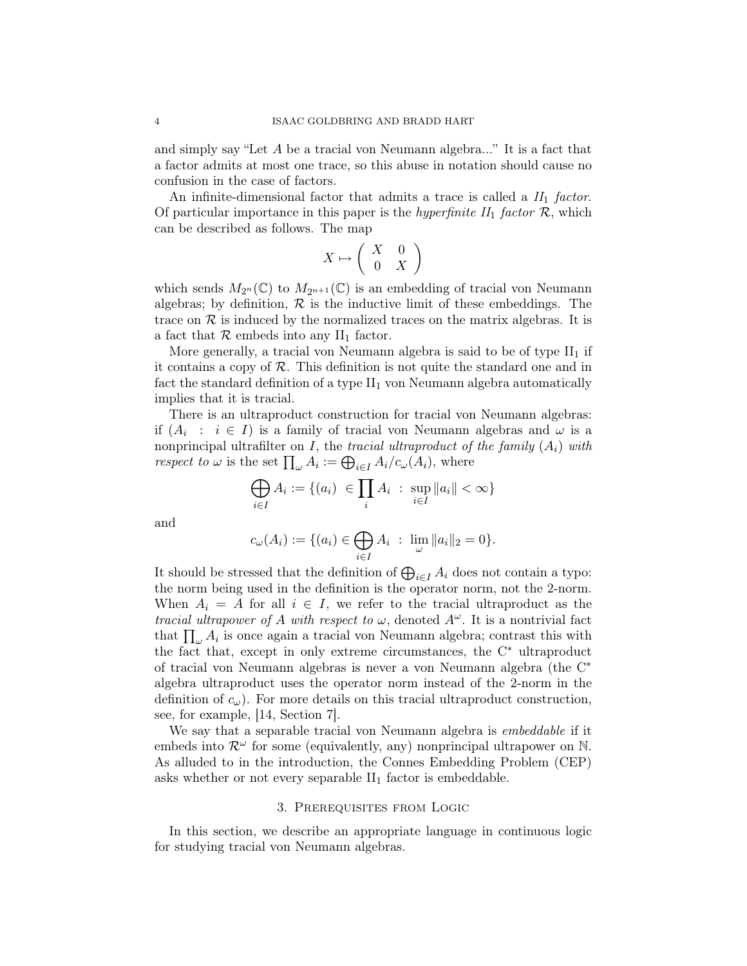and simply say "Let A be a tracial von Neumann algebra..." It is a fact that a factor admits at most one trace, so this abuse in notation should cause no confusion in the case of factors.

An infinite-dimensional factor that admits a trace is called a  $II_1$  factor. Of particular importance in this paper is the *hyperfinite*  $II_1$  factor  $\mathcal{R}$ , which can be described as follows. The map

$$
X \mapsto \left( \begin{array}{cc} X & 0 \\ 0 & X \end{array} \right)
$$

which sends  $M_{2^n}(\mathbb{C})$  to  $M_{2^{n+1}}(\mathbb{C})$  is an embedding of tracial von Neumann algebras; by definition,  $R$  is the inductive limit of these embeddings. The trace on  $\mathcal R$  is induced by the normalized traces on the matrix algebras. It is a fact that  $R$  embeds into any  $II_1$  factor.

More generally, a tracial von Neumann algebra is said to be of type  $II_1$  if it contains a copy of  $R$ . This definition is not quite the standard one and in fact the standard definition of a type  $II_1$  von Neumann algebra automatically implies that it is tracial.

There is an ultraproduct construction for tracial von Neumann algebras: if  $(A_i : i \in I)$  is a family of tracial von Neumann algebras and  $\omega$  is a nonprincipal ultrafilter on I, the tracial ultraproduct of the family  $(A_i)$  with respect to  $\omega$  is the set  $\prod_{\omega} A_i := \bigoplus_{i \in I} A_i / c_{\omega}(A_i)$ , where

$$
\bigoplus_{i \in I} A_i := \{ (a_i) \in \prod_i A_i : \sup_{i \in I} ||a_i|| < \infty \}
$$

and

$$
c_{\omega}(A_i) := \{(a_i) \in \bigoplus_{i \in I} A_i : \lim_{\omega} ||a_i||_2 = 0\}.
$$

It should be stressed that the definition of  $\bigoplus_{i\in I} A_i$  does not contain a typo: the norm being used in the definition is the operator norm, not the 2-norm. When  $A_i = A$  for all  $i \in I$ , we refer to the tracial ultraproduct as the tracial ultrapower of A with respect to  $\omega$ , denoted  $A^{\omega}$ . It is a nontrivial fact that  $\prod_{\omega} A_i$  is once again a tracial von Neumann algebra; contrast this with the fact that, except in only extreme circumstances, the C<sup>∗</sup> ultraproduct of tracial von Neumann algebras is never a von Neumann algebra (the C<sup>∗</sup> algebra ultraproduct uses the operator norm instead of the 2-norm in the definition of  $c_{\omega}$ ). For more details on this tracial ultraproduct construction, see, for example, [14, Section 7].

We say that a separable tracial von Neumann algebra is *embeddable* if it embeds into  $\mathcal{R}^{\omega}$  for some (equivalently, any) nonprincipal ultrapower on N. As alluded to in the introduction, the Connes Embedding Problem (CEP) asks whether or not every separable  $II_1$  factor is embeddable.

# 3. Prerequisites from Logic

In this section, we describe an appropriate language in continuous logic for studying tracial von Neumann algebras.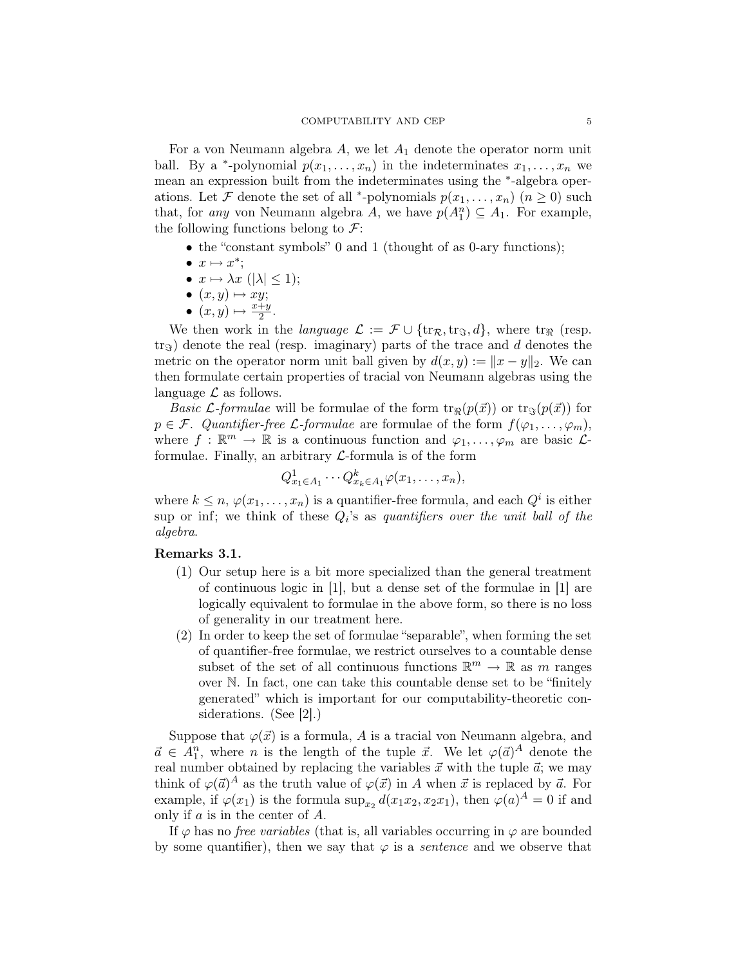For a von Neumann algebra  $A$ , we let  $A_1$  denote the operator norm unit ball. By a <sup>\*</sup>-polynomial  $p(x_1, \ldots, x_n)$  in the indeterminates  $x_1, \ldots, x_n$  we mean an expression built from the indeterminates using the <sup>∗</sup> -algebra operations. Let  $\mathcal F$  denote the set of all <sup>\*</sup>-polynomials  $p(x_1, \ldots, x_n)$   $(n \ge 0)$  such that, for any von Neumann algebra A, we have  $p(A_1^n) \subseteq A_1$ . For example, the following functions belong to  $\mathcal{F}$ :

- the "constant symbols" 0 and 1 (thought of as 0-ary functions);
- $x \mapsto x^*$ ;
- $x \mapsto \lambda x \ (\vert \lambda \vert \leq 1);$
- $(x, y) \mapsto xy;$
- $(x, y) \mapsto \frac{x+y}{2}$ .

We then work in the *language*  $\mathcal{L} := \mathcal{F} \cup \{ \text{tr}_{\mathcal{R}}, \text{tr}_{\Im}, d \}$ , where  $\text{tr}_{\Re}$  (resp.  $\text{tr}_{\Im}$ ) denote the real (resp. imaginary) parts of the trace and d denotes the metric on the operator norm unit ball given by  $d(x, y) := ||x - y||_2$ . We can then formulate certain properties of tracial von Neumann algebras using the language  $\mathcal L$  as follows.

*Basic L-formulae* will be formulae of the form  $\text{tr}_{\Re}(p(\vec{x}))$  or  $\text{tr}_{\Im}(p(\vec{x}))$  for  $p \in \mathcal{F}$ . Quantifier-free *L*-formulae are formulae of the form  $f(\varphi_1, \ldots, \varphi_m)$ , where  $f : \mathbb{R}^m \to \mathbb{R}$  is a continuous function and  $\varphi_1, \ldots, \varphi_m$  are basic  $\mathcal{L}$ formulae. Finally, an arbitrary  $\mathcal{L}$ -formula is of the form

$$
Q_{x_1 \in A_1}^1 \cdots Q_{x_k \in A_1}^k \varphi(x_1, \ldots, x_n),
$$

where  $k \leq n$ ,  $\varphi(x_1, \ldots, x_n)$  is a quantifier-free formula, and each  $Q^i$  is either sup or inf; we think of these  $Q_i$ 's as quantifiers over the unit ball of the algebra.

# Remarks 3.1.

- (1) Our setup here is a bit more specialized than the general treatment of continuous logic in [1], but a dense set of the formulae in [1] are logically equivalent to formulae in the above form, so there is no loss of generality in our treatment here.
- (2) In order to keep the set of formulae "separable", when forming the set of quantifier-free formulae, we restrict ourselves to a countable dense subset of the set of all continuous functions  $\mathbb{R}^m \to \mathbb{R}$  as m ranges over N. In fact, one can take this countable dense set to be "finitely generated" which is important for our computability-theoretic considerations. (See [2].)

Suppose that  $\varphi(\vec{x})$  is a formula, A is a tracial von Neumann algebra, and  $\vec{a} \in A_1^n$ , where *n* is the length of the tuple  $\vec{x}$ . We let  $\varphi(\vec{a})^A$  denote the real number obtained by replacing the variables  $\vec{x}$  with the tuple  $\vec{a}$ ; we may think of  $\varphi(\vec{a})^A$  as the truth value of  $\varphi(\vec{x})$  in A when  $\vec{x}$  is replaced by  $\vec{a}$ . For example, if  $\varphi(x_1)$  is the formula  $\sup_{x_2} d(x_1 x_2, x_2 x_1)$ , then  $\varphi(a)^A = 0$  if and only if a is in the center of A.

If  $\varphi$  has no *free variables* (that is, all variables occurring in  $\varphi$  are bounded by some quantifier), then we say that  $\varphi$  is a *sentence* and we observe that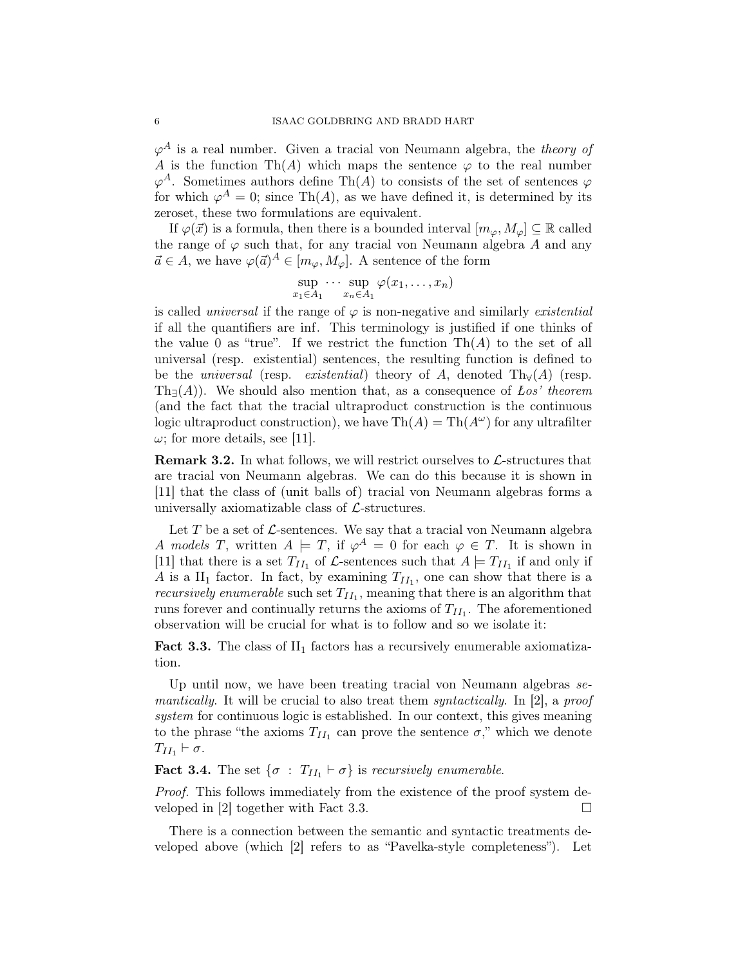$\varphi^A$  is a real number. Given a tracial von Neumann algebra, the theory of A is the function Th(A) which maps the sentence  $\varphi$  to the real number  $\varphi^A$ . Sometimes authors define Th(A) to consists of the set of sentences  $\varphi$ for which  $\varphi^A = 0$ ; since Th(A), as we have defined it, is determined by its zeroset, these two formulations are equivalent.

If  $\varphi(\vec{x})$  is a formula, then there is a bounded interval  $[m_{\varphi}, M_{\varphi}] \subseteq \mathbb{R}$  called the range of  $\varphi$  such that, for any tracial von Neumann algebra A and any  $\vec{a} \in A$ , we have  $\varphi(\vec{a})^A \in [m_\varphi, M_\varphi]$ . A sentence of the form

$$
\sup_{x_1 \in A_1} \cdots \sup_{x_n \in A_1} \varphi(x_1, \ldots, x_n)
$$

is called *universal* if the range of  $\varphi$  is non-negative and similarly *existential* if all the quantifiers are inf. This terminology is justified if one thinks of the value 0 as "true". If we restrict the function  $\text{Th}(A)$  to the set of all universal (resp. existential) sentences, the resulting function is defined to be the universal (resp. existential) theory of A, denoted  $Th<sub>∀</sub>(A)$  (resp. Th $\nexists(A)$ . We should also mention that, as a consequence of Los' theorem (and the fact that the tracial ultraproduct construction is the continuous logic ultraproduct construction), we have  $\text{Th}(A) = \text{Th}(A^{\omega})$  for any ultrafilter  $\omega$ ; for more details, see [11].

**Remark 3.2.** In what follows, we will restrict ourselves to  $\mathcal{L}$ -structures that are tracial von Neumann algebras. We can do this because it is shown in [11] that the class of (unit balls of) tracial von Neumann algebras forms a universally axiomatizable class of  $\mathcal{L}$ -structures.

Let  $T$  be a set of  $\mathcal{L}$ -sentences. We say that a tracial von Neumann algebra A models T, written  $A \models T$ , if  $\varphi^A = 0$  for each  $\varphi \in T$ . It is shown in [11] that there is a set  $T_{II_1}$  of  $\mathcal{L}$ -sentences such that  $A \models T_{II_1}$  if and only if A is a  $II_1$  factor. In fact, by examining  $T_{II_1}$ , one can show that there is a *recursively enumerable* such set  $T_{II_1}$ , meaning that there is an algorithm that runs forever and continually returns the axioms of  $T_{II_1}$ . The aforementioned observation will be crucial for what is to follow and so we isolate it:

**Fact 3.3.** The class of  $II_1$  factors has a recursively enumerable axiomatization.

Up until now, we have been treating tracial von Neumann algebras semantically. It will be crucial to also treat them syntactically. In [2], a proof system for continuous logic is established. In our context, this gives meaning to the phrase "the axioms  $T_{II_1}$  can prove the sentence  $\sigma$ ," which we denote  $T_{II_1} \vdash \sigma.$ 

**Fact 3.4.** The set  $\{\sigma : T_{II_1} \vdash \sigma\}$  is recursively enumerable.

Proof. This follows immediately from the existence of the proof system developed in [2] together with Fact 3.3.  $\square$ 

There is a connection between the semantic and syntactic treatments developed above (which [2] refers to as "Pavelka-style completeness"). Let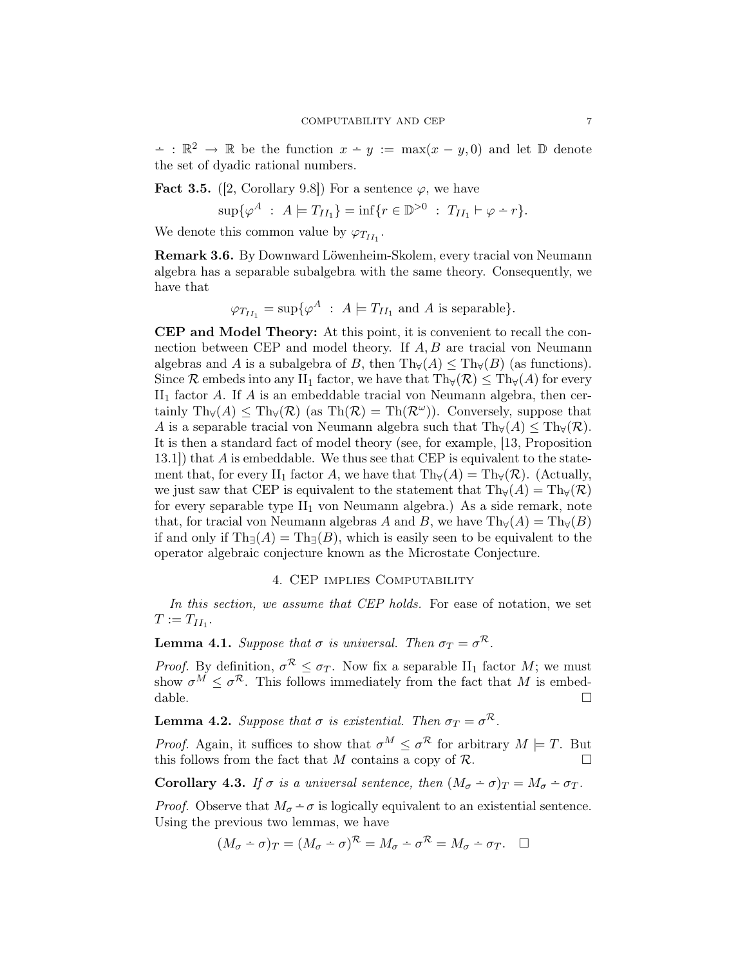$\vdash$ :  $\mathbb{R}^2 \to \mathbb{R}$  be the function  $x \div y := \max(x - y, 0)$  and let D denote the set of dyadic rational numbers.

**Fact 3.5.** ([2, Corollary 9.8]) For a sentence  $\varphi$ , we have

$$
\sup \{ \varphi^A \; : \; A \models T_{II_1} \} = \inf \{ r \in \mathbb{D}^{>0} \; : \; T_{II_1} \vdash \varphi - r \}.
$$

We denote this common value by  $\varphi_{T_{II}}$ .

Remark 3.6. By Downward Löwenheim-Skolem, every tracial von Neumann algebra has a separable subalgebra with the same theory. Consequently, we have that

$$
\varphi_{T_{II_1}} = \sup \{ \varphi^A \ : \ A \models T_{II_1} \text{ and } A \text{ is separable} \}.
$$

CEP and Model Theory: At this point, it is convenient to recall the connection between CEP and model theory. If  $A, B$  are tracial von Neumann algebras and A is a subalgebra of B, then  $\text{Th}_{\forall}(A) \leq \text{Th}_{\forall}(B)$  (as functions). Since R embeds into any II<sub>1</sub> factor, we have that  $Th<sub>\forall</sub>(R) \leq Th<sub>\forall</sub>(A)$  for every  $II<sub>1</sub>$  factor A. If A is an embeddable tracial von Neumann algebra, then certainly  $Th_{\forall}(A) \leq Th_{\forall}(\mathcal{R})$  (as  $Th(\mathcal{R}) = Th(\mathcal{R}^{\omega})$ ). Conversely, suppose that A is a separable tracial von Neumann algebra such that  $\text{Th}_{\forall}(A) \leq \text{Th}_{\forall}(\mathcal{R}).$ It is then a standard fact of model theory (see, for example, [13, Proposition 13.1]) that A is embeddable. We thus see that CEP is equivalent to the statement that, for every II<sub>1</sub> factor A, we have that  $Th_v(A) = Th_v(\mathcal{R})$ . (Actually, we just saw that CEP is equivalent to the statement that  $\text{Th}_{\forall}(A) = \text{Th}_{\forall}(\mathcal{R})$ for every separable type  $II_1$  von Neumann algebra.) As a side remark, note that, for tracial von Neumann algebras A and B, we have  $\text{Th}_{\forall}(A) = \text{Th}_{\forall}(B)$ if and only if  $\text{Th}_{\exists}(A) = \text{Th}_{\exists}(B)$ , which is easily seen to be equivalent to the operator algebraic conjecture known as the Microstate Conjecture.

## 4. CEP implies Computability

In this section, we assume that CEP holds. For ease of notation, we set  $T := T_{II_1}.$ 

**Lemma 4.1.** Suppose that  $\sigma$  is universal. Then  $\sigma_T = \sigma^R$ .

*Proof.* By definition,  $\sigma^R \leq \sigma_T$ . Now fix a separable II<sub>1</sub> factor M; we must show  $\sigma^M \leq \sigma^{\mathcal{R}}$ . This follows immediately from the fact that M is embeddable.  $\Box$ 

**Lemma 4.2.** Suppose that  $\sigma$  is existential. Then  $\sigma_T = \sigma^R$ .

*Proof.* Again, it suffices to show that  $\sigma^M \leq \sigma^R$  for arbitrary  $M \models T$ . But this follows from the fact that M contains a copy of  $\mathcal{R}$ .

**Corollary 4.3.** If  $\sigma$  is a universal sentence, then  $(M_{\sigma} - \sigma)_T = M_{\sigma} - \sigma_T$ .

*Proof.* Observe that  $M_{\sigma} - \sigma$  is logically equivalent to an existential sentence. Using the previous two lemmas, we have

$$
(M_{\sigma} \doteq \sigma)_T = (M_{\sigma} \doteq \sigma)^{\mathcal{R}} = M_{\sigma} \doteq \sigma^{\mathcal{R}} = M_{\sigma} \doteq \sigma_T. \quad \Box
$$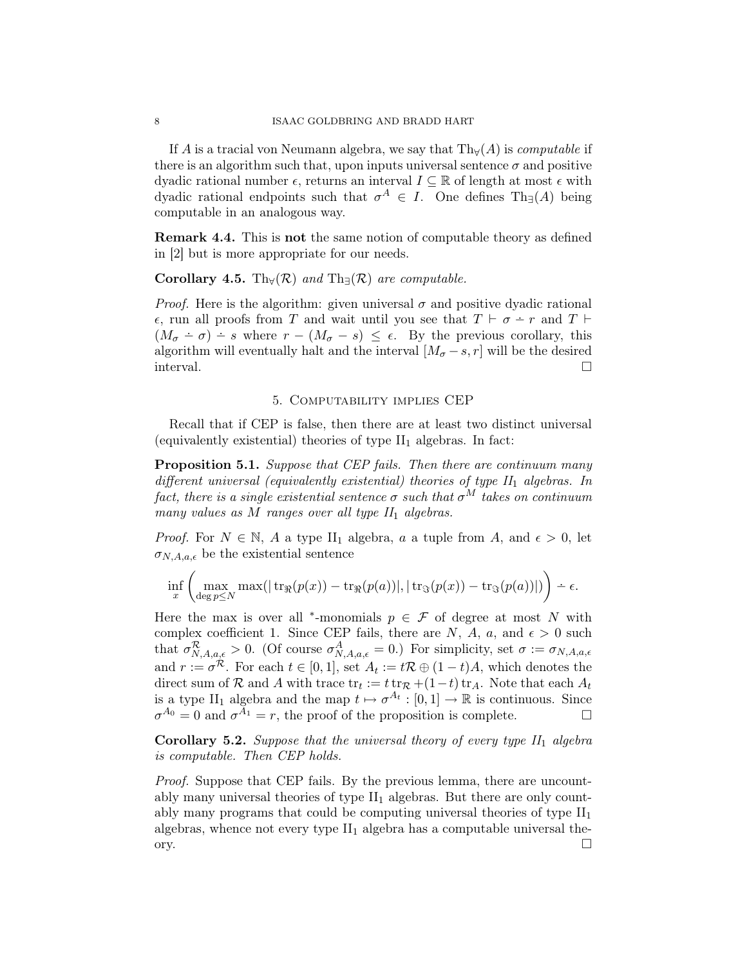If A is a tracial von Neumann algebra, we say that  $Th_v(A)$  is *computable* if there is an algorithm such that, upon inputs universal sentence  $\sigma$  and positive dyadic rational number  $\epsilon$ , returns an interval  $I \subseteq \mathbb{R}$  of length at most  $\epsilon$  with dyadic rational endpoints such that  $\sigma^A \in I$ . One defines Th<sub>∃</sub>(A) being computable in an analogous way.

Remark 4.4. This is not the same notion of computable theory as defined in [2] but is more appropriate for our needs.

# Corollary 4.5. Th $_{\forall}(\mathcal{R})$  and Th $_{\exists}(\mathcal{R})$  are computable.

*Proof.* Here is the algorithm: given universal  $\sigma$  and positive dyadic rational  $\epsilon$ , run all proofs from T and wait until you see that  $T \vdash \sigma - r$  and  $T \vdash$  $(M_{\sigma} - \sigma) - s$  where  $r - (M_{\sigma} - s) \leq \epsilon$ . By the previous corollary, this algorithm will eventually halt and the interval  $[M_{\sigma} - s, r]$  will be the desired interval.

# 5. Computability implies CEP

Recall that if CEP is false, then there are at least two distinct universal (equivalently existential) theories of type  $II_1$  algebras. In fact:

**Proposition 5.1.** Suppose that CEP fails. Then there are continuum many different universal (equivalently existential) theories of type  $II_1$  algebras. In fact, there is a single existential sentence  $\sigma$  such that  $\sigma^M$  takes on continuum many values as  $M$  ranges over all type  $II_1$  algebras.

*Proof.* For  $N \in \mathbb{N}$ , A a type II<sub>1</sub> algebra, a a tuple from A, and  $\epsilon > 0$ , let  $\sigma_{N,A,a,\epsilon}$  be the existential sentence

$$
\inf_x \left( \max_{\deg p \leq N} \max(|\operatorname{tr}_{\Re}(p(x)) - \operatorname{tr}_{\Re}(p(a))|, |\operatorname{tr}_{\Im}(p(x)) - \operatorname{tr}_{\Im}(p(a))|) \right) \doteq \epsilon.
$$

Here the max is over all <sup>\*</sup>-monomials  $p \in \mathcal{F}$  of degree at most N with complex coefficient 1. Since CEP fails, there are N, A, a, and  $\epsilon > 0$  such that  $\sigma_{N,A,a,\epsilon}^{\mathcal{R}} > 0$ . (Of course  $\sigma_{N,A,a,\epsilon}^A = 0$ .) For simplicity, set  $\sigma := \sigma_{N,A,a,\epsilon}$ and  $r := \sigma^{\mathcal{R}}$ . For each  $t \in [0, 1]$ , set  $A_t := t\mathcal{R} \oplus (1-t)A$ , which denotes the direct sum of R and A with trace  $\text{tr}_t := t \text{ tr}_{\mathcal{R}} + (1-t) \text{ tr}_{A}$ . Note that each  $A_t$ is a type II<sub>1</sub> algebra and the map  $t \mapsto \sigma^{A_t} : [0, 1] \to \mathbb{R}$  is continuous. Since  $\sigma^{A_0} = 0$  and  $\sigma^{\bar{A}_1} = r$ , the proof of the proposition is complete.

Corollary 5.2. Suppose that the universal theory of every type  $II_1$  algebra is computable. Then CEP holds.

Proof. Suppose that CEP fails. By the previous lemma, there are uncountably many universal theories of type  $II_1$  algebras. But there are only countably many programs that could be computing universal theories of type  $II_1$ algebras, whence not every type  $II_1$  algebra has a computable universal theory.  $\Box$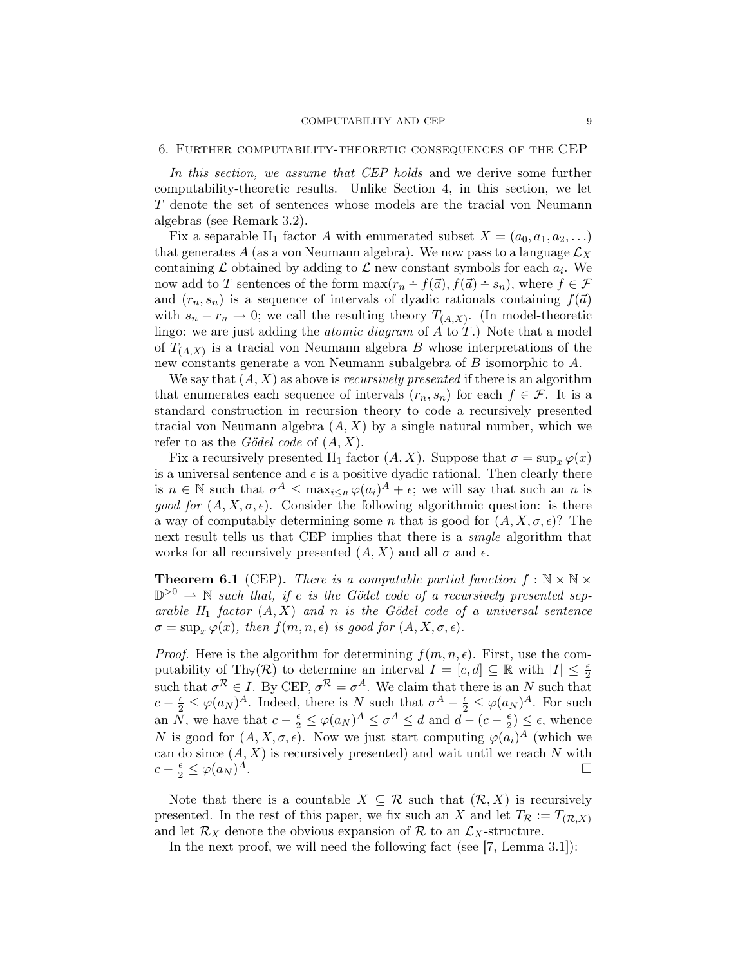#### COMPUTABILITY AND CEP 9

#### 6. Further computability-theoretic consequences of the CEP

In this section, we assume that CEP holds and we derive some further computability-theoretic results. Unlike Section 4, in this section, we let T denote the set of sentences whose models are the tracial von Neumann algebras (see Remark 3.2).

Fix a separable II<sub>1</sub> factor A with enumerated subset  $X = (a_0, a_1, a_2, \ldots)$ that generates A (as a von Neumann algebra). We now pass to a language  $\mathcal{L}_X$ containing  $\mathcal L$  obtained by adding to  $\mathcal L$  new constant symbols for each  $a_i$ . We now add to T sentences of the form  $\max(r_n - f(\vec{a}), f(\vec{a}) - s_n)$ , where  $f \in \mathcal{F}$ and  $(r_n, s_n)$  is a sequence of intervals of dyadic rationals containing  $f(\vec{a})$ with  $s_n - r_n \to 0$ ; we call the resulting theory  $T_{(A,X)}$ . (In model-theoretic lingo: we are just adding the *atomic diagram* of  $A$  to  $T$ .) Note that a model of  $T_{(A,X)}$  is a tracial von Neumann algebra B whose interpretations of the new constants generate a von Neumann subalgebra of B isomorphic to A.

We say that  $(A, X)$  as above is *recursively presented* if there is an algorithm that enumerates each sequence of intervals  $(r_n, s_n)$  for each  $f \in \mathcal{F}$ . It is a standard construction in recursion theory to code a recursively presented tracial von Neumann algebra  $(A, X)$  by a single natural number, which we refer to as the *Gödel code* of  $(A, X)$ .

Fix a recursively presented II<sub>1</sub> factor  $(A, X)$ . Suppose that  $\sigma = \sup_x \varphi(x)$ is a universal sentence and  $\epsilon$  is a positive dyadic rational. Then clearly there is  $n \in \mathbb{N}$  such that  $\sigma^A \leq \max_{i \leq n} \varphi(a_i)^A + \epsilon$ ; we will say that such an n is good for  $(A, X, \sigma, \epsilon)$ . Consider the following algorithmic question: is there a way of computably determining some n that is good for  $(A, X, \sigma, \epsilon)$ ? The next result tells us that CEP implies that there is a *single* algorithm that works for all recursively presented  $(A, X)$  and all  $\sigma$  and  $\epsilon$ .

**Theorem 6.1** (CEP). There is a computable partial function  $f : \mathbb{N} \times \mathbb{N} \times$  $\mathbb{D}^{>0} \rightharpoonup \mathbb{N}$  such that, if e is the Gödel code of a recursively presented separable  $II_1$  factor  $(A, X)$  and n is the Gödel code of a universal sentence  $\sigma = \sup_x \varphi(x)$ , then  $f(m, n, \epsilon)$  is good for  $(A, X, \sigma, \epsilon)$ .

*Proof.* Here is the algorithm for determining  $f(m, n, \epsilon)$ . First, use the computability of Th<sub>∀</sub>( $\mathcal{R}$ ) to determine an interval  $I = [c, d] \subseteq \mathbb{R}$  with  $|I| \leq \frac{\epsilon}{2}$ such that  $\sigma^{\mathcal{R}} \in I$ . By CEP,  $\sigma^{\mathcal{R}} = \sigma^A$ . We claim that there is an N such that  $c - \frac{\epsilon}{2} \leq \varphi(a_N)^A$ . Indeed, there is N such that  $\sigma^A - \frac{\epsilon}{2} \leq \varphi(a_N)^A$ . For such an  $\overline{N}$ , we have that  $c - \frac{\epsilon}{2} \leq \varphi(a_N)^A \leq \sigma^A \leq d$  and  $d - (c - \frac{\epsilon}{2})$  $(\frac{\epsilon}{2}) \leq \epsilon$ , whence N is good for  $(A, X, \sigma, \epsilon)$ . Now we just start computing  $\varphi(a_i)^A$  (which we can do since  $(A, X)$  is recursively presented) and wait until we reach N with  $c - \frac{\epsilon}{2} \leq \varphi(a_N)$  $\overline{A}$ .

Note that there is a countable  $X \subseteq \mathcal{R}$  such that  $(\mathcal{R}, X)$  is recursively presented. In the rest of this paper, we fix such an X and let  $T_{\mathcal{R}} := T_{(\mathcal{R},X)}$ and let  $\mathcal{R}_X$  denote the obvious expansion of  $\mathcal R$  to an  $\mathcal L_X$ -structure.

In the next proof, we will need the following fact (see [7, Lemma 3.1]):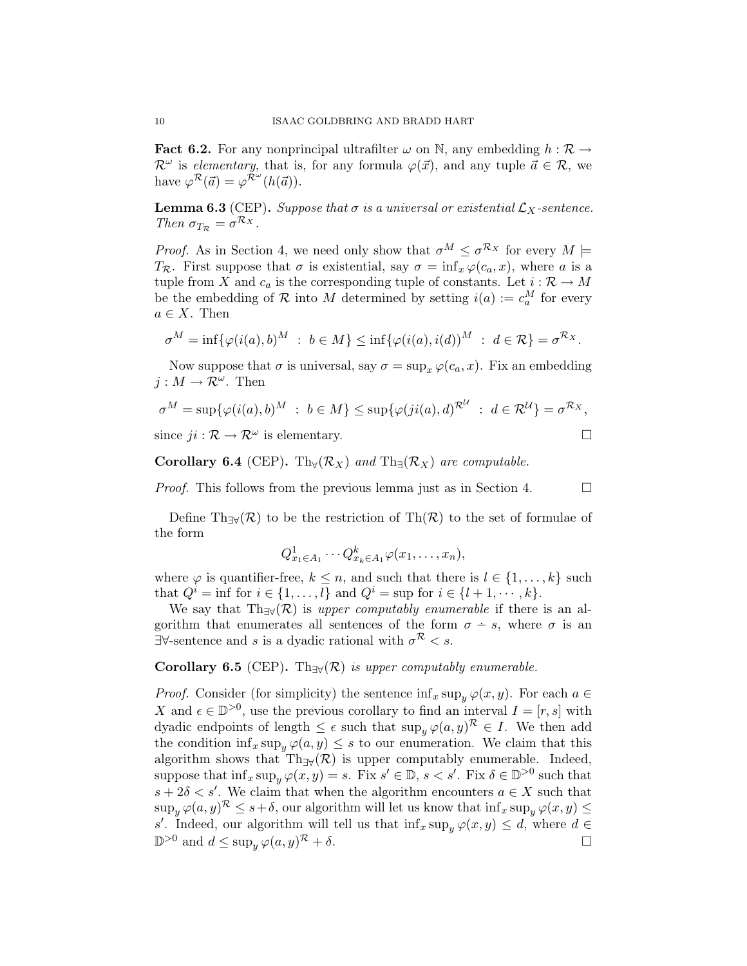**Fact 6.2.** For any nonprincipal ultrafilter  $\omega$  on N, any embedding  $h : \mathcal{R} \rightarrow$  $\mathcal{R}^{\omega}$  is elementary, that is, for any formula  $\varphi(\vec{x})$ , and any tuple  $\vec{a} \in \mathcal{R}$ , we have  $\varphi^{\mathcal{R}}(\vec{a}) = \varphi^{\mathcal{R}^{\omega}}(h(\vec{a})).$ 

**Lemma 6.3** (CEP). Suppose that  $\sigma$  is a universal or existential  $\mathcal{L}_X$ -sentence. Then  $\sigma_{T_{\mathcal{R}}} = \sigma^{\mathcal{R}_X}$ .

*Proof.* As in Section 4, we need only show that  $\sigma^M \leq \sigma^{\mathcal{R}_X}$  for every  $M \models$ T<sub>R</sub>. First suppose that  $\sigma$  is existential, say  $\sigma = \inf_x \varphi(c_a, x)$ , where a is a tuple from X and  $c_a$  is the corresponding tuple of constants. Let  $i : \mathcal{R} \to M$ be the embedding of R into M determined by setting  $i(a) := c_a^M$  for every  $a \in X$ . Then

$$
\sigma^M = \inf \{ \varphi(i(a), b)^M \; : \; b \in M \} \leq \inf \{ \varphi(i(a), i(d))^M \; : \; d \in \mathcal{R} \} = \sigma^{\mathcal{R}_X}.
$$

Now suppose that  $\sigma$  is universal, say  $\sigma = \sup_x \varphi(c_a, x)$ . Fix an embedding  $j: M \to \mathcal{R}^{\omega}$ . Then

$$
\sigma^M = \sup \{ \varphi(i(a), b)^M \; : \; b \in M \} \le \sup \{ \varphi(ji(a), d)^{\mathcal{R}^{\mathcal{U}}} \; : \; d \in \mathcal{R}^{\mathcal{U}} \} = \sigma^{\mathcal{R}_X},
$$
  
since  $ji : \mathcal{R} \to \mathcal{R}^{\omega}$  is elementary.

Corollary 6.4 (CEP). Th<sub>∀</sub>( $\mathcal{R}_X$ ) and Th<sub>∃</sub>( $\mathcal{R}_X$ ) are computable.

*Proof.* This follows from the previous lemma just as in Section 4.  $\Box$ 

Define Th<sub>∃∀</sub>( $\mathcal{R}$ ) to be the restriction of Th( $\mathcal{R}$ ) to the set of formulae of the form

$$
Q_{x_1 \in A_1}^1 \cdots Q_{x_k \in A_1}^k \varphi(x_1, \ldots, x_n),
$$

where  $\varphi$  is quantifier-free,  $k \leq n$ , and such that there is  $l \in \{1, \ldots, k\}$  such that  $Q^{i} = \inf$  for  $i \in \{1, ..., l\}$  and  $Q^{i} = \sup$  for  $i \in \{l + 1, ..., k\}$ .

We say that  $Th_{\exists \forall}(\mathcal{R})$  is upper computably enumerable if there is an algorithm that enumerates all sentences of the form  $\sigma \div s$ , where  $\sigma$  is an  $\exists \forall$ -sentence and s is a dyadic rational with  $\sigma^R < s$ .

# Corollary 6.5 (CEP). Th $\negthinspace \phi(\mathcal{R})$  is upper computably enumerable.

*Proof.* Consider (for simplicity) the sentence  $\inf_x \sup_y \varphi(x, y)$ . For each  $a \in$ X and  $\epsilon \in \mathbb{D}^{>0}$ , use the previous corollary to find an interval  $I = [r, s]$  with dyadic endpoints of length  $\leq \epsilon$  such that  $\sup_y \varphi(a, y)^{\mathcal{R}} \in I$ . We then add the condition  $\inf_x \sup_y \varphi(a, y) \leq s$  to our enumeration. We claim that this algorithm shows that  $Th_{\exists \forall}(\mathcal{R})$  is upper computably enumerable. Indeed, suppose that  $\inf_x \sup_y \varphi(x, y) = s$ . Fix  $s' \in \mathbb{D}, s < s'$ . Fix  $\delta \in \mathbb{D}^{>0}$  such that  $s + 2\delta < s'$ . We claim that when the algorithm encounters  $a \in X$  such that  $\sup_y \varphi(a, y)^{\mathcal{R}} \leq s + \delta$ , our algorithm will let us know that  $\inf_x \sup_y \varphi(x, y) \leq$ s'. Indeed, our algorithm will tell us that  $\inf_x \sup_y \varphi(x,y) \leq d$ , where  $d \in$  $\mathbb{D}^{>0}$  and  $d \leq \sup_y \varphi(a, y)^R + \delta.$